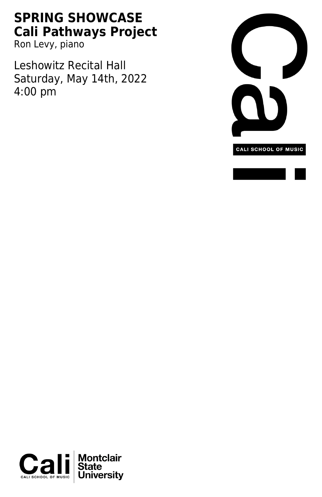## **SPRING SHOWCASE Cali Pathways Project**

Ron Levy, piano

Leshowitz Recital Hall Saturday, May 14th, 2022 4:00 pm



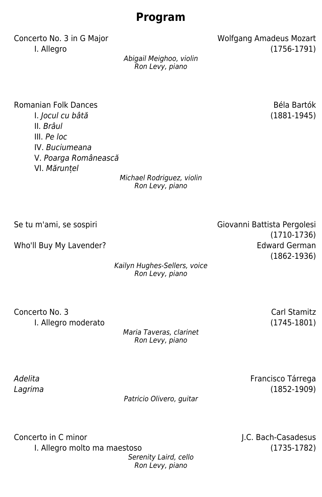## **Program**

Concerto No. 3 in G Major North Concerto No. 3 in G Major I. Allegro (1756-1791)

Abigail Meighoo, violin Ron Levy, piano

Romanian Folk Dances **Béla Bartók** Béla Bartók I. Jocul cu bâtă (1881-1945) II. Brâul III. Pe loc IV. Buciumeana V. Poarga Românească VI. Mărunțel

Michael Rodriguez, violin Ron Levy, piano

Who'll Buy My Lavender? The Controller of the Controller of the Edward German

Kailyn Hughes-Sellers, voice Ron Levy, piano

Concerto No. 3 Carl Stamitz I. Allegro moderato (1745-1801)

> Maria Taveras, clarinet Ron Levy, piano

Adelita Lagrima

Patricio Olivero, guitar

Concerto in C minor and The Concerto in C minor and J.C. Bach-Casadesus I. Allegro molto ma maestoso (1735-1782)

Serenity Laird, cello Ron Levy, piano

Se tu m'ami, se sospiri Giovanni Battista Pergolesi (1710-1736)

(1862-1936)

Francisco Tárrega (1852-1909)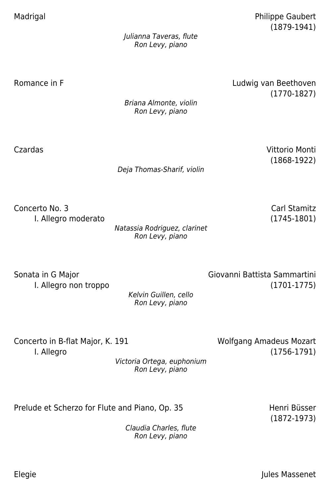Madrigal **Madrigal** Philippe Gaubert (1879-1941)

> Julianna Taveras, flute Ron Levy, piano

Romance in F<br> **Example 2018** Eudwig van Beethoven (1770-1827)

> Briana Almonte, violin Ron Levy, piano

Deja Thomas-Sharif, violin

Czardas Vittorio Monti (1868-1922)

Concerto No. 3 Carl Stamitz I. Allegro moderato (1745-1801)

Natassia Rodriguez, clarinet Ron Levy, piano

Sonata in G Major Giovanni Battista Sammartini I. Allegro non troppo (1701-1775)

Kelvin Guillen, cello Ron Levy, piano

Victoria Ortega, euphonium Ron Levy, piano

Concerto in B-flat Major, K. 191 Wolfgang Amadeus Mozart

I. Allegro (1756-1791)

Prelude et Scherzo for Flute and Piano, Op. 35 Henri Büsser

(1872-1973)

Claudia Charles, flute Ron Levy, piano